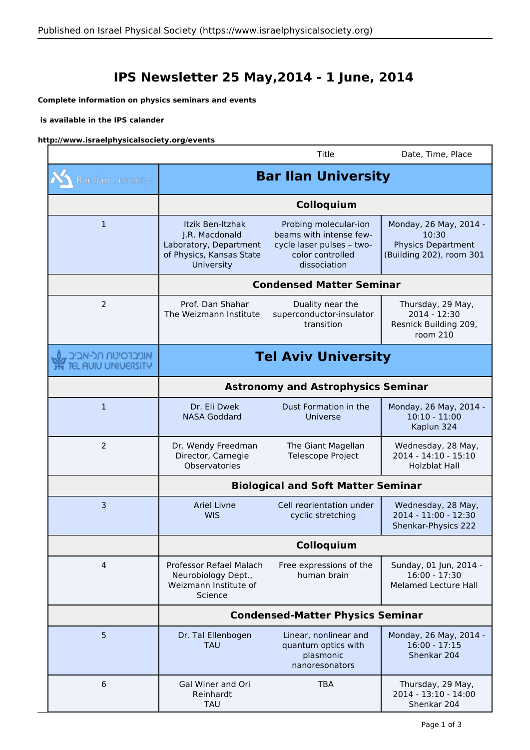## **IPS Newsletter 25 May,2014 - 1 June, 2014**

## **Complete information on physics seminars and events**

## **is available in the IPS calander**

 $\sim$ 

## **http://www.israelphysicalsociety.org/events**

|                                           |                                                                                                        | Title                                                                                                             | Date, Time, Place                                                                        |  |
|-------------------------------------------|--------------------------------------------------------------------------------------------------------|-------------------------------------------------------------------------------------------------------------------|------------------------------------------------------------------------------------------|--|
| <b>Bar-Ilan University</b>                | <b>Bar Ilan University</b>                                                                             |                                                                                                                   |                                                                                          |  |
|                                           | Colloquium                                                                                             |                                                                                                                   |                                                                                          |  |
| $\mathbf 1$                               | Itzik Ben-Itzhak<br>J.R. Macdonald<br>Laboratory, Department<br>of Physics, Kansas State<br>University | Probing molecular-ion<br>beams with intense few-<br>cycle laser pulses - two-<br>color controlled<br>dissociation | Monday, 26 May, 2014 -<br>10:30<br><b>Physics Department</b><br>(Building 202), room 301 |  |
|                                           | <b>Condensed Matter Seminar</b>                                                                        |                                                                                                                   |                                                                                          |  |
| 2                                         | Prof. Dan Shahar<br>The Weizmann Institute                                                             | Duality near the<br>superconductor-insulator<br>transition                                                        | Thursday, 29 May,<br>2014 - 12:30<br>Resnick Building 209,<br>room 210                   |  |
| אוניברסיטת תל-אביב<br>TEL AUIU UNIUERSITY | <b>Tel Aviv University</b>                                                                             |                                                                                                                   |                                                                                          |  |
|                                           | <b>Astronomy and Astrophysics Seminar</b>                                                              |                                                                                                                   |                                                                                          |  |
| 1                                         | Dr. Eli Dwek<br><b>NASA Goddard</b>                                                                    | Dust Formation in the<br>Universe                                                                                 | Monday, 26 May, 2014 -<br>$10:10 - 11:00$<br>Kaplun 324                                  |  |
| $\overline{2}$                            | Dr. Wendy Freedman<br>Director, Carnegie<br>Observatories                                              | The Giant Magellan<br>Telescope Project                                                                           | Wednesday, 28 May,<br>2014 - 14:10 - 15:10<br><b>Holzblat Hall</b>                       |  |
|                                           | <b>Biological and Soft Matter Seminar</b>                                                              |                                                                                                                   |                                                                                          |  |
| 3                                         | <b>Ariel Livne</b><br><b>WIS</b>                                                                       | Cell reorientation under<br>cyclic stretching                                                                     | Wednesday, 28 May,<br>2014 - 11:00 - 12:30<br>Shenkar-Physics 222                        |  |
|                                           | Colloquium                                                                                             |                                                                                                                   |                                                                                          |  |
| 4                                         | Professor Refael Malach<br>Neurobiology Dept.,<br>Weizmann Institute of<br>Science                     | Free expressions of the<br>human brain                                                                            | Sunday, 01 Jun, 2014 -<br>16:00 - 17:30<br><b>Melamed Lecture Hall</b>                   |  |
|                                           | <b>Condensed-Matter Physics Seminar</b>                                                                |                                                                                                                   |                                                                                          |  |
| 5                                         | Dr. Tal Ellenbogen<br><b>TAU</b>                                                                       | Linear, nonlinear and<br>quantum optics with<br>plasmonic<br>nanoresonators                                       | Monday, 26 May, 2014 -<br>$16:00 - 17:15$<br>Shenkar 204                                 |  |
| 6                                         | Gal Winer and Ori<br>Reinhardt<br>TAU                                                                  | <b>TBA</b>                                                                                                        | Thursday, 29 May,<br>2014 - 13:10 - 14:00<br>Shenkar 204                                 |  |

٦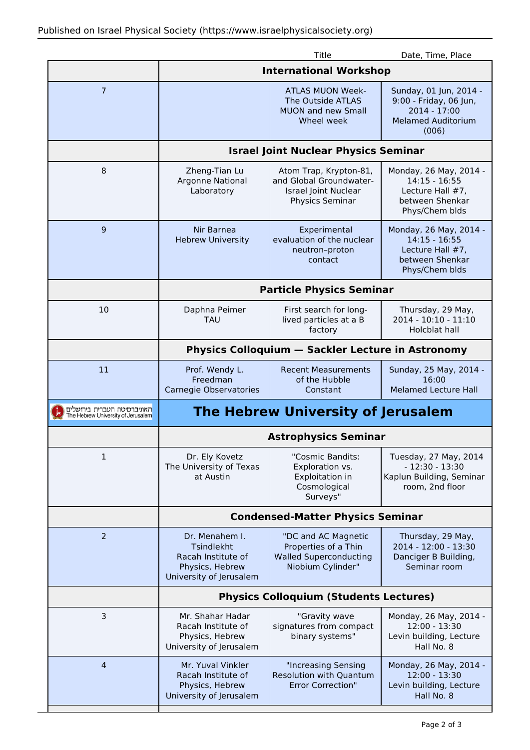|                                                                   |                                                                                                         | Title                                                                                             | Date, Time, Place                                                                                      |  |
|-------------------------------------------------------------------|---------------------------------------------------------------------------------------------------------|---------------------------------------------------------------------------------------------------|--------------------------------------------------------------------------------------------------------|--|
|                                                                   | <b>International Workshop</b>                                                                           |                                                                                                   |                                                                                                        |  |
| $\overline{7}$                                                    |                                                                                                         | <b>ATLAS MUON Week-</b><br>The Outside ATLAS<br><b>MUON and new Small</b><br>Wheel week           | Sunday, 01 Jun, 2014 -<br>9:00 - Friday, 06 Jun,<br>2014 - 17:00<br><b>Melamed Auditorium</b><br>(006) |  |
|                                                                   | <b>Israel Joint Nuclear Physics Seminar</b>                                                             |                                                                                                   |                                                                                                        |  |
| 8                                                                 | Zheng-Tian Lu<br>Argonne National<br>Laboratory                                                         | Atom Trap, Krypton-81,<br>and Global Groundwater-<br>Israel Joint Nuclear<br>Physics Seminar      | Monday, 26 May, 2014 -<br>$14:15 - 16:55$<br>Lecture Hall #7,<br>between Shenkar<br>Phys/Chem blds     |  |
| 9                                                                 | Nir Barnea<br><b>Hebrew University</b>                                                                  | Experimental<br>evaluation of the nuclear<br>neutron-proton<br>contact                            | Monday, 26 May, 2014 -<br>$14:15 - 16:55$<br>Lecture Hall #7,<br>between Shenkar<br>Phys/Chem blds     |  |
|                                                                   | <b>Particle Physics Seminar</b>                                                                         |                                                                                                   |                                                                                                        |  |
| 10                                                                | Daphna Peimer<br>TAU                                                                                    | First search for long-<br>lived particles at a B<br>factory                                       | Thursday, 29 May,<br>2014 - 10:10 - 11:10<br>Holcblat hall                                             |  |
|                                                                   | Physics Colloquium - Sackler Lecture in Astronomy                                                       |                                                                                                   |                                                                                                        |  |
| 11                                                                | Prof. Wendy L.<br>Freedman<br>Carnegie Observatories                                                    | <b>Recent Measurements</b><br>of the Hubble<br>Constant                                           | Sunday, 25 May, 2014 -<br>16:00<br><b>Melamed Lecture Hall</b>                                         |  |
| האוניברסיטה העברית בירושלים<br>The Hebrew University of Jerusalem | The Hebrew University of Jerusalem                                                                      |                                                                                                   |                                                                                                        |  |
|                                                                   | <b>Astrophysics Seminar</b>                                                                             |                                                                                                   |                                                                                                        |  |
| 1                                                                 | Dr. Ely Kovetz<br>The University of Texas<br>at Austin                                                  | "Cosmic Bandits:<br>Exploration vs.<br>Exploitation in<br>Cosmological<br>Surveys"                | Tuesday, 27 May, 2014<br>$-12:30 - 13:30$<br>Kaplun Building, Seminar<br>room, 2nd floor               |  |
|                                                                   | <b>Condensed-Matter Physics Seminar</b>                                                                 |                                                                                                   |                                                                                                        |  |
| 2                                                                 | Dr. Menahem I.<br><b>Tsindlekht</b><br>Racah Institute of<br>Physics, Hebrew<br>University of Jerusalem | "DC and AC Magnetic<br>Properties of a Thin<br><b>Walled Superconducting</b><br>Niobium Cylinder" | Thursday, 29 May,<br>2014 - 12:00 - 13:30<br>Danciger B Building,<br>Seminar room                      |  |
|                                                                   | <b>Physics Colloquium (Students Lectures)</b>                                                           |                                                                                                   |                                                                                                        |  |
| 3                                                                 | Mr. Shahar Hadar<br>Racah Institute of<br>Physics, Hebrew                                               | "Gravity wave<br>signatures from compact<br>binary systems"                                       | Monday, 26 May, 2014 -<br>12:00 - 13:30<br>Levin building, Lecture<br>Hall No. 8                       |  |
|                                                                   | University of Jerusalem                                                                                 |                                                                                                   |                                                                                                        |  |
| $\overline{4}$                                                    | Mr. Yuval Vinkler<br>Racah Institute of<br>Physics, Hebrew<br>University of Jerusalem                   | "Increasing Sensing<br><b>Resolution with Quantum</b><br><b>Error Correction"</b>                 | Monday, 26 May, 2014 -<br>$12:00 - 13:30$<br>Levin building, Lecture<br>Hall No. 8                     |  |